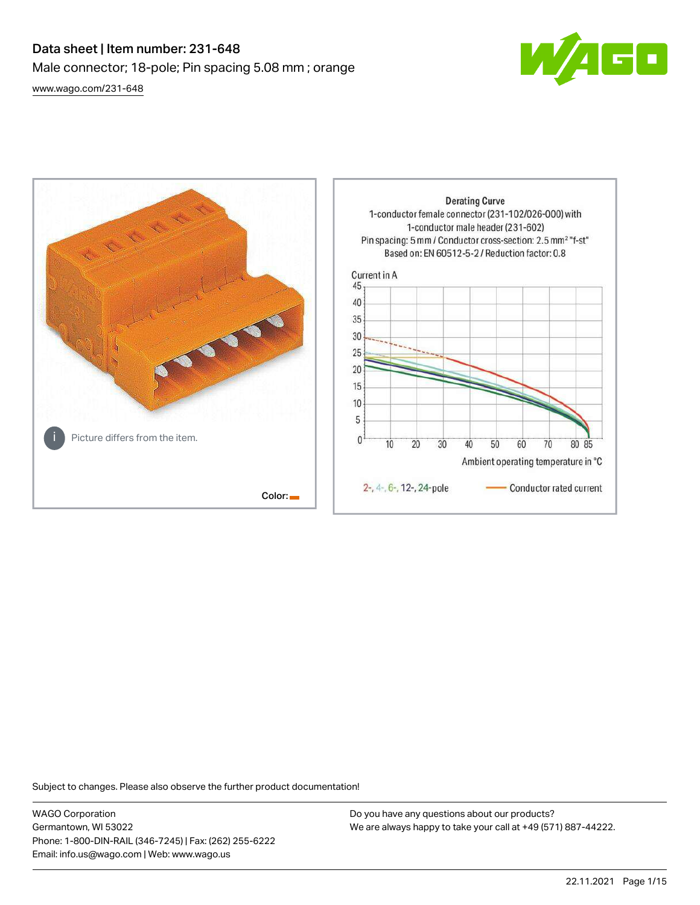# Data sheet | Item number: 231-648 Male connector; 18-pole; Pin spacing 5.08 mm ; orange [www.wago.com/231-648](http://www.wago.com/231-648)



**Derating Curve** 1-conductor female connector (231-102/026-000) with 1-conductor male header (231-602) Pin spacing: 5 mm / Conductor cross-section: 2.5 mm<sup>2</sup> "f-st" Based on: EN 60512-5-2 / Reduction factor: 0.8 Current in A 45 40 35 30 25  $20$ 15 10 5 Picture differs from the item.  $\mathbf{0}$  $\overline{10}$ 20 30 40 50 60 70 80 85 Ambient operating temperature in °C 2-, 4-, 6-, 12-, 24-pole Conductor rated current Color:

Subject to changes. Please also observe the further product documentation!

WAGO Corporation Germantown, WI 53022 Phone: 1-800-DIN-RAIL (346-7245) | Fax: (262) 255-6222 Email: info.us@wago.com | Web: www.wago.us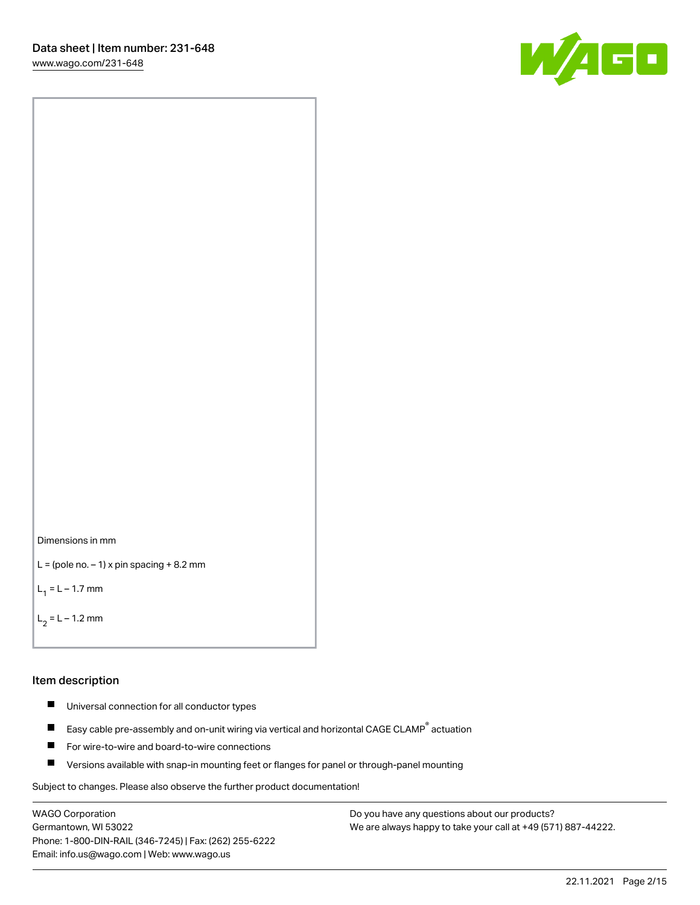[www.wago.com/231-648](http://www.wago.com/231-648)





```
L = (pole no. -1) x pin spacing +8.2 mm
```
 $L_1 = L - 1.7$  mm

```
L_2 = L - 1.2 mm
```
#### Item description

- $\blacksquare$ Universal connection for all conductor types
- Easy cable pre-assembly and on-unit wiring via vertical and horizontal CAGE CLAMP<sup>®</sup> actuation  $\blacksquare$
- П For wire-to-wire and board-to-wire connections
- $\blacksquare$ Versions available with snap-in mounting feet or flanges for panel or through-panel mounting

Subject to changes. Please also observe the further product documentation!

WAGO Corporation Germantown, WI 53022 Phone: 1-800-DIN-RAIL (346-7245) | Fax: (262) 255-6222 Email: info.us@wago.com | Web: www.wago.us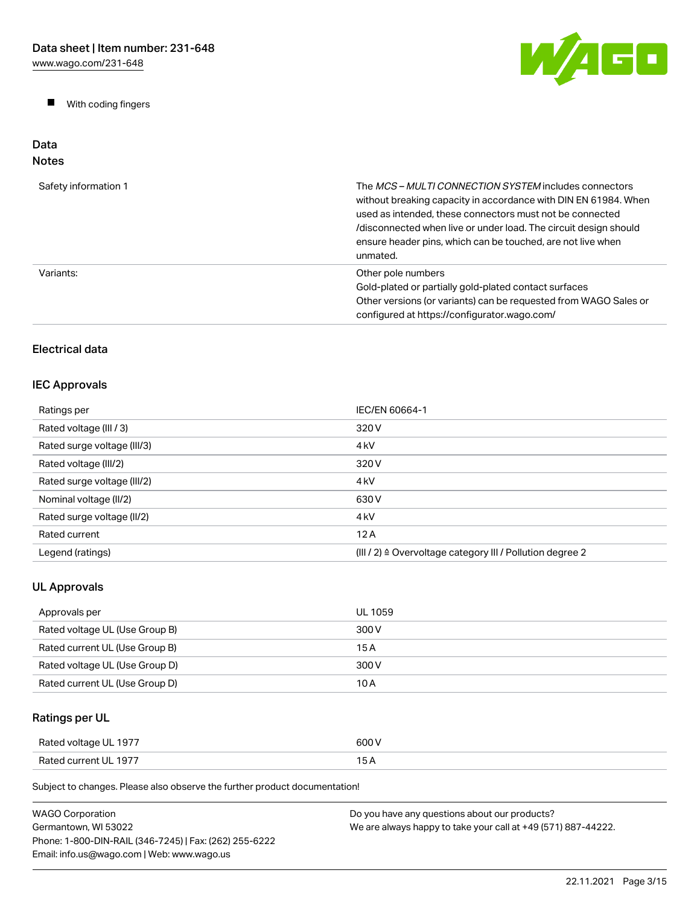$\blacksquare$ With coding fingers



#### Data Notes

| Safety information 1 | The MCS-MULTI CONNECTION SYSTEM includes connectors<br>without breaking capacity in accordance with DIN EN 61984. When<br>used as intended, these connectors must not be connected<br>/disconnected when live or under load. The circuit design should<br>ensure header pins, which can be touched, are not live when<br>unmated. |
|----------------------|-----------------------------------------------------------------------------------------------------------------------------------------------------------------------------------------------------------------------------------------------------------------------------------------------------------------------------------|
| Variants:            | Other pole numbers<br>Gold-plated or partially gold-plated contact surfaces<br>Other versions (or variants) can be requested from WAGO Sales or<br>configured at https://configurator.wago.com/                                                                                                                                   |

# Electrical data

# IEC Approvals

| Ratings per                 | IEC/EN 60664-1                                                       |
|-----------------------------|----------------------------------------------------------------------|
| Rated voltage (III / 3)     | 320 V                                                                |
| Rated surge voltage (III/3) | 4 <sub>kV</sub>                                                      |
| Rated voltage (III/2)       | 320 V                                                                |
| Rated surge voltage (III/2) | 4 <sub>k</sub> V                                                     |
| Nominal voltage (II/2)      | 630 V                                                                |
| Rated surge voltage (II/2)  | 4 <sub>k</sub> V                                                     |
| Rated current               | 12A                                                                  |
| Legend (ratings)            | (III / 2) $\triangleq$ Overvoltage category III / Pollution degree 2 |

# UL Approvals

| Approvals per                  | UL 1059 |
|--------------------------------|---------|
| Rated voltage UL (Use Group B) | 300 V   |
| Rated current UL (Use Group B) | 15 A    |
| Rated voltage UL (Use Group D) | 300 V   |
| Rated current UL (Use Group D) | 10 A    |

# Ratings per UL

| Rated voltage UL 1977 | 600 V |
|-----------------------|-------|
| Rated current UL 1977 | 15 A  |

| <b>WAGO Corporation</b>                                | Do you have any questions about our products?                 |
|--------------------------------------------------------|---------------------------------------------------------------|
| Germantown. WI 53022                                   | We are always happy to take your call at +49 (571) 887-44222. |
| Phone: 1-800-DIN-RAIL (346-7245)   Fax: (262) 255-6222 |                                                               |
| Email: info.us@wago.com   Web: www.wago.us             |                                                               |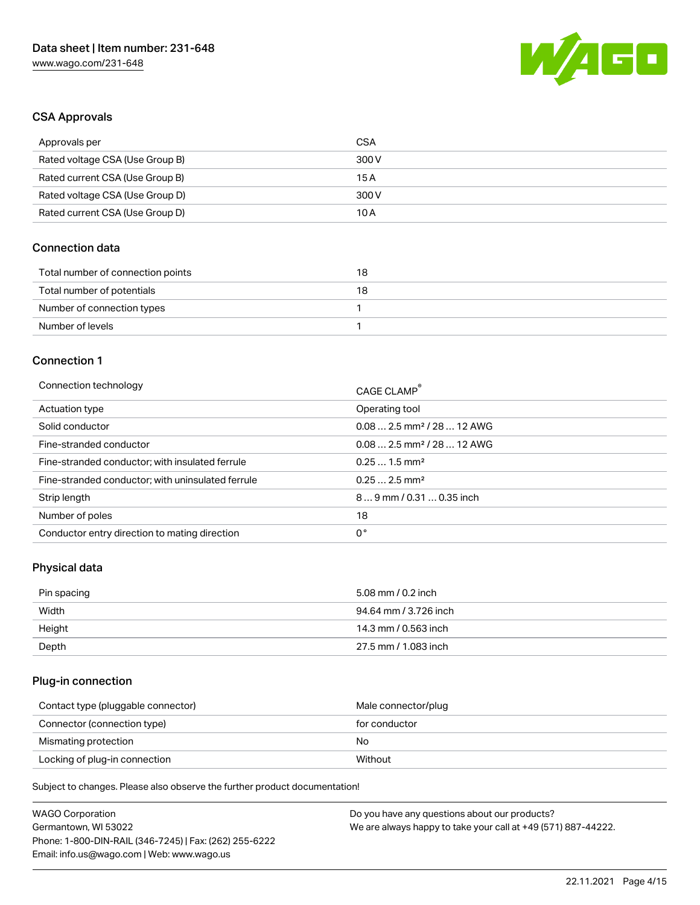

### CSA Approvals

| Approvals per                   | CSA   |
|---------------------------------|-------|
| Rated voltage CSA (Use Group B) | 300 V |
| Rated current CSA (Use Group B) | 15 A  |
| Rated voltage CSA (Use Group D) | 300 V |
| Rated current CSA (Use Group D) | 10 A  |

### Connection data

| Total number of connection points | 18 |
|-----------------------------------|----|
| Total number of potentials        | 18 |
| Number of connection types        |    |
| Number of levels                  |    |

#### Connection 1

| Connection technology                             | CAGE CLAMP <sup>®</sup>                |
|---------------------------------------------------|----------------------------------------|
| Actuation type                                    | Operating tool                         |
| Solid conductor                                   | $0.082.5$ mm <sup>2</sup> / 28  12 AWG |
| Fine-stranded conductor                           | $0.082.5$ mm <sup>2</sup> / 28  12 AWG |
| Fine-stranded conductor; with insulated ferrule   | $0.251.5$ mm <sup>2</sup>              |
| Fine-stranded conductor; with uninsulated ferrule | $0.252.5$ mm <sup>2</sup>              |
| Strip length                                      | $89$ mm / 0.31  0.35 inch              |
| Number of poles                                   | 18                                     |
| Conductor entry direction to mating direction     | 0°                                     |

### Physical data

| Pin spacing | 5.08 mm / 0.2 inch    |
|-------------|-----------------------|
| Width       | 94.64 mm / 3.726 inch |
| Height      | 14.3 mm / 0.563 inch  |
| Depth       | 27.5 mm / 1.083 inch  |

# Plug-in connection

| Contact type (pluggable connector) | Male connector/plug |
|------------------------------------|---------------------|
| Connector (connection type)        | for conductor       |
| Mismating protection               | No                  |
| Locking of plug-in connection      | Without             |

| <b>WAGO Corporation</b>                                | Do you have any questions about our products?                 |
|--------------------------------------------------------|---------------------------------------------------------------|
| Germantown, WI 53022                                   | We are always happy to take your call at +49 (571) 887-44222. |
| Phone: 1-800-DIN-RAIL (346-7245)   Fax: (262) 255-6222 |                                                               |
| Email: info.us@wago.com   Web: www.wago.us             |                                                               |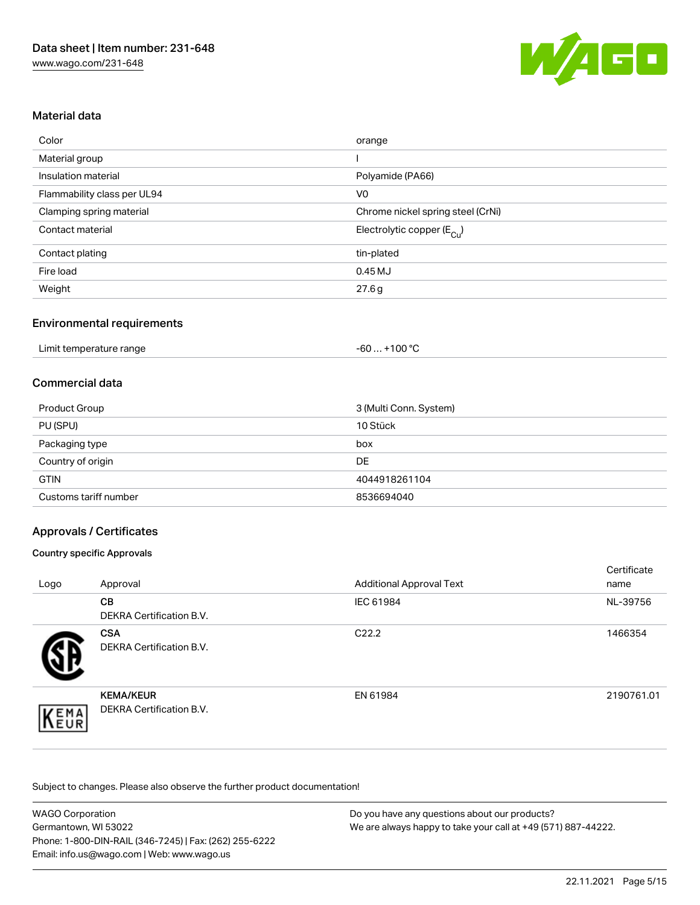

## Material data

| Color                       | orange                                |
|-----------------------------|---------------------------------------|
| Material group              |                                       |
| Insulation material         | Polyamide (PA66)                      |
| Flammability class per UL94 | V <sub>0</sub>                        |
| Clamping spring material    | Chrome nickel spring steel (CrNi)     |
| Contact material            | Electrolytic copper $(E_{\text{Cu}})$ |
| Contact plating             | tin-plated                            |
| Fire load                   | 0.45MJ                                |
| Weight                      | 27.6g                                 |

### Environmental requirements

| Limit temperature range<br>. | $-100\,^{\circ}\mathrm{C}$<br>-60 |  |
|------------------------------|-----------------------------------|--|
|------------------------------|-----------------------------------|--|

### Commercial data

| Product Group         | 3 (Multi Conn. System) |
|-----------------------|------------------------|
| PU (SPU)              | 10 Stück               |
| Packaging type        | box                    |
| Country of origin     | DE                     |
| <b>GTIN</b>           | 4044918261104          |
| Customs tariff number | 8536694040             |

### Approvals / Certificates

#### Country specific Approvals

| Logo | Approval                                     | <b>Additional Approval Text</b> | Certificate<br>name |
|------|----------------------------------------------|---------------------------------|---------------------|
|      | <b>CB</b><br><b>DEKRA Certification B.V.</b> | IEC 61984                       | NL-39756            |
|      | <b>CSA</b><br>DEKRA Certification B.V.       | C <sub>22.2</sub>               | 1466354             |
| EMA  | <b>KEMA/KEUR</b><br>DEKRA Certification B.V. | EN 61984                        | 2190761.01          |

| <b>WAGO Corporation</b>                                | Do you have any questions about our products?                 |
|--------------------------------------------------------|---------------------------------------------------------------|
| Germantown, WI 53022                                   | We are always happy to take your call at +49 (571) 887-44222. |
| Phone: 1-800-DIN-RAIL (346-7245)   Fax: (262) 255-6222 |                                                               |
| Email: info.us@wago.com   Web: www.wago.us             |                                                               |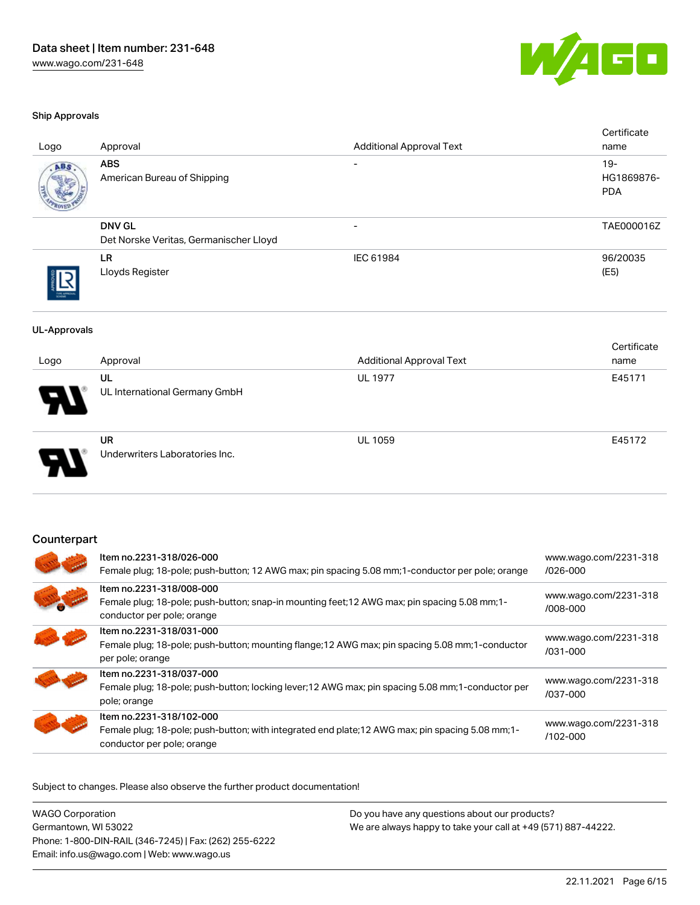

#### Ship Approvals

| Logo                | Approval                                                                                                                                                | <b>Additional Approval Text</b>                                                                  | Certificate<br>name                |
|---------------------|---------------------------------------------------------------------------------------------------------------------------------------------------------|--------------------------------------------------------------------------------------------------|------------------------------------|
| ABS                 | <b>ABS</b><br>American Bureau of Shipping                                                                                                               |                                                                                                  | $19 -$<br>HG1869876-<br><b>PDA</b> |
|                     | <b>DNV GL</b><br>Det Norske Veritas, Germanischer Lloyd                                                                                                 | $\overline{\phantom{a}}$                                                                         | TAE000016Z                         |
|                     | <b>LR</b><br>Lloyds Register                                                                                                                            | IEC 61984                                                                                        | 96/20035<br>(E5)                   |
| <b>UL-Approvals</b> |                                                                                                                                                         |                                                                                                  | Certificate                        |
| Logo                | Approval                                                                                                                                                | <b>Additional Approval Text</b>                                                                  | name                               |
|                     | <b>UL</b><br>UL International Germany GmbH                                                                                                              | <b>UL 1977</b>                                                                                   | E45171                             |
|                     | <b>UR</b><br>Underwriters Laboratories Inc.                                                                                                             | <b>UL 1059</b>                                                                                   | E45172                             |
| Counterpart         | Item no.2231-318/026-000                                                                                                                                | Female plug; 18-pole; push-button; 12 AWG max; pin spacing 5.08 mm; 1-conductor per pole; orange | www.wago.com/2231-318<br>/026-000  |
|                     | Item no.2231-318/008-000<br>Female plug; 18-pole; push-button; snap-in mounting feet; 12 AWG max; pin spacing 5.08 mm; 1-<br>conductor per pole; orange |                                                                                                  | www.wago.com/2231-318<br>/008-000  |
|                     | Item no.2231-318/031-000                                                                                                                                |                                                                                                  | $\frac{11}{2}$                     |

| Item no.2231-318/026-000<br>Female plug; 18-pole; push-button; 12 AWG max; pin spacing 5.08 mm; 1-conductor per pole; orange                                | www.wago.com/2231-318<br>$/026 - 000$ |
|-------------------------------------------------------------------------------------------------------------------------------------------------------------|---------------------------------------|
| Item no.2231-318/008-000<br>Female plug; 18-pole; push-button; snap-in mounting feet; 12 AWG max; pin spacing 5.08 mm; 1-<br>conductor per pole; orange     | www.wago.com/2231-318<br>/008-000     |
| Item no.2231-318/031-000<br>Female plug; 18-pole; push-button; mounting flange; 12 AWG max; pin spacing 5.08 mm; 1-conductor<br>per pole; orange            | www.wago.com/2231-318<br>/031-000     |
| Item no.2231-318/037-000<br>Female plug; 18-pole; push-button; locking lever; 12 AWG max; pin spacing 5.08 mm; 1-conductor per<br>pole; orange              | www.wago.com/2231-318<br>/037-000     |
| Item no.2231-318/102-000<br>Female plug; 18-pole; push-button; with integrated end plate; 12 AWG max; pin spacing 5.08 mm; 1-<br>conductor per pole; orange | www.wago.com/2231-318<br>/102-000     |

Subject to changes. Please also observe the further product documentation!

WAGO Corporation Germantown, WI 53022 Phone: 1-800-DIN-RAIL (346-7245) | Fax: (262) 255-6222 Email: info.us@wago.com | Web: www.wago.us Do you have any questions about our products? We are always happy to take your call at +49 (571) 887-44222.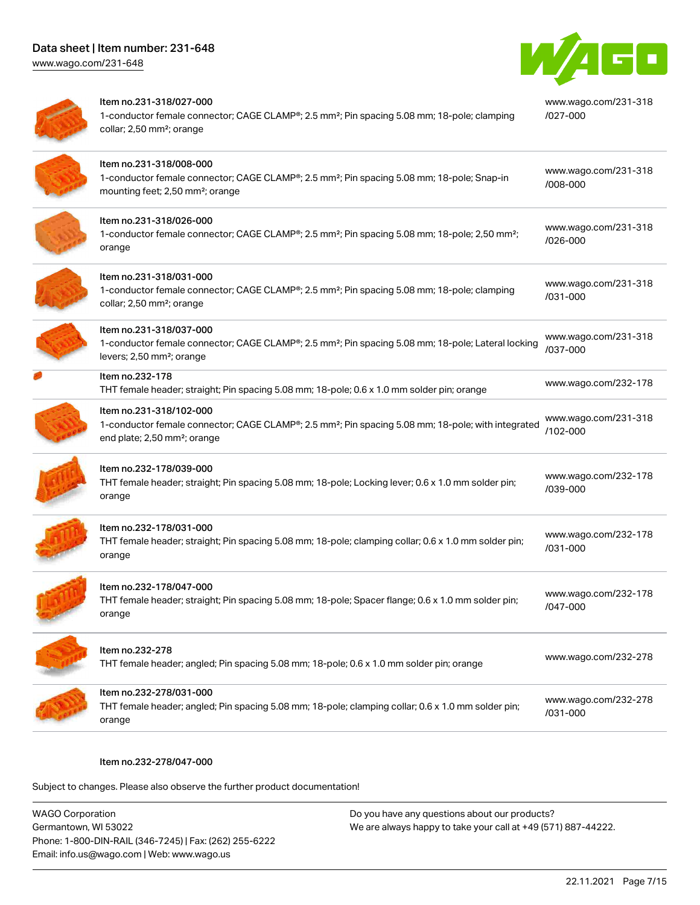[www.wago.com/231-648](http://www.wago.com/231-648)



| Item no.231-318/027-000<br>1-conductor female connector; CAGE CLAMP®; 2.5 mm <sup>2</sup> ; Pin spacing 5.08 mm; 18-pole; clamping<br>collar; 2,50 mm <sup>2</sup> ; orange           | www.wago.com/231-318<br>$1027 - 000$ |
|---------------------------------------------------------------------------------------------------------------------------------------------------------------------------------------|--------------------------------------|
| Item no.231-318/008-000<br>1-conductor female connector; CAGE CLAMP®; 2.5 mm <sup>2</sup> ; Pin spacing 5.08 mm; 18-pole; Snap-in<br>mounting feet; 2,50 mm <sup>2</sup> ; orange     | www.wago.com/231-318<br>/008-000     |
| Item no.231-318/026-000<br>1-conductor female connector; CAGE CLAMP®; 2.5 mm <sup>2</sup> ; Pin spacing 5.08 mm; 18-pole; 2,50 mm <sup>2</sup> ;<br>orange                            | www.wago.com/231-318<br>/026-000     |
| Item no.231-318/031-000<br>1-conductor female connector; CAGE CLAMP®; 2.5 mm <sup>2</sup> ; Pin spacing 5.08 mm; 18-pole; clamping<br>collar; 2,50 mm <sup>2</sup> ; orange           | www.wago.com/231-318<br>/031-000     |
| Item no.231-318/037-000<br>1-conductor female connector; CAGE CLAMP®; 2.5 mm <sup>2</sup> ; Pin spacing 5.08 mm; 18-pole; Lateral locking<br>levers; 2,50 mm <sup>2</sup> ; orange    | www.wago.com/231-318<br>/037-000     |
| Item no.232-178<br>THT female header; straight; Pin spacing 5.08 mm; 18-pole; 0.6 x 1.0 mm solder pin; orange                                                                         | www.wago.com/232-178                 |
| Item no.231-318/102-000<br>1-conductor female connector; CAGE CLAMP®; 2.5 mm <sup>2</sup> ; Pin spacing 5.08 mm; 18-pole; with integrated<br>end plate; 2,50 mm <sup>2</sup> ; orange | www.wago.com/231-318<br>/102-000     |
| Item no.232-178/039-000<br>THT female header; straight; Pin spacing 5.08 mm; 18-pole; Locking lever; 0.6 x 1.0 mm solder pin;<br>orange                                               | www.wago.com/232-178<br>/039-000     |
| Item no.232-178/031-000<br>THT female header; straight; Pin spacing 5.08 mm; 18-pole; clamping collar; 0.6 x 1.0 mm solder pin;<br>orange                                             | www.wago.com/232-178<br>/031-000     |
| Item no.232-178/047-000<br>THT female header; straight; Pin spacing 5.08 mm; 18-pole; Spacer flange; 0.6 x 1.0 mm solder pin;<br>orange                                               | www.wago.com/232-178<br>/047-000     |
| Item no.232-278<br>THT female header; angled; Pin spacing 5.08 mm; 18-pole; 0.6 x 1.0 mm solder pin; orange                                                                           | www.wago.com/232-278                 |
| Item no.232-278/031-000<br>THT female header; angled; Pin spacing 5.08 mm; 18-pole; clamping collar; 0.6 x 1.0 mm solder pin;<br>orange                                               | www.wago.com/232-278<br>/031-000     |

#### Item no.232-278/047-000

Subject to changes. Please also observe the further product documentation!

WAGO Corporation Germantown, WI 53022 Phone: 1-800-DIN-RAIL (346-7245) | Fax: (262) 255-6222 Email: info.us@wago.com | Web: www.wago.us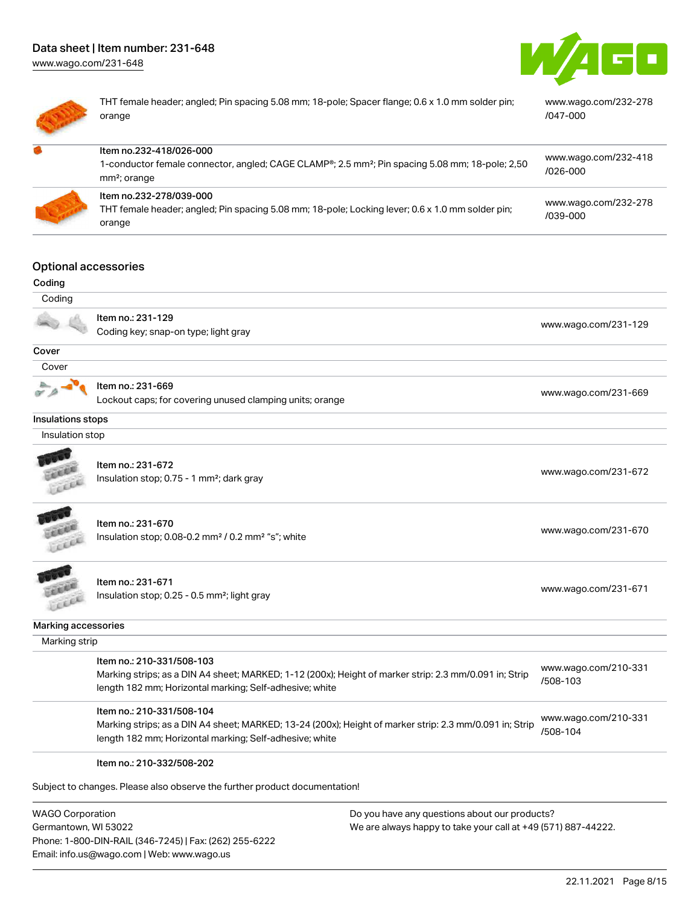[www.wago.com/231-648](http://www.wago.com/231-648)





THT female header; angled; Pin spacing 5.08 mm; 18-pole; Spacer flange; 0.6 x 1.0 mm solder pin; orange [www.wago.com/232-278](https://www.wago.com/232-278/047-000) [/047-000](https://www.wago.com/232-278/047-000) Item no.232-418/026-000

| 1-conductor female connector, angled; CAGE CLAMP <sup>®</sup> ; 2.5 mm <sup>2</sup> ; Pin spacing 5.08 mm; 18-pole; 2,50<br>mm <sup>2</sup> ; orange         | www.wago.com/232-418<br>/026-000 |
|--------------------------------------------------------------------------------------------------------------------------------------------------------------|----------------------------------|
| Item no.232-278/039-000<br><b>THT f</b> and the tradem conduction of the conduction of $\theta$ and a dealer the data decomposed $\theta$ and a deduction of | www.wago.com/232-278             |

[/039-000](https://www.wago.com/232-278/039-000)

## Item no.232-278/039-000

THT female header; angled; Pin spacing 5.08 mm; 18-pole; Locking lever; 0.6 x 1.0 mm solder pin; orange

### Optional accessories

| Coding              |                                                                                                         |                                  |
|---------------------|---------------------------------------------------------------------------------------------------------|----------------------------------|
| Coding              |                                                                                                         |                                  |
|                     | Item no.: 231-129                                                                                       | www.wago.com/231-129             |
|                     | Coding key; snap-on type; light gray                                                                    |                                  |
| Cover               |                                                                                                         |                                  |
| Cover               |                                                                                                         |                                  |
|                     | Item no.: 231-669                                                                                       |                                  |
|                     | Lockout caps; for covering unused clamping units; orange                                                | www.wago.com/231-669             |
| Insulations stops   |                                                                                                         |                                  |
| Insulation stop     |                                                                                                         |                                  |
|                     |                                                                                                         |                                  |
|                     | Item no.: 231-672                                                                                       | www.wago.com/231-672             |
|                     | Insulation stop; 0.75 - 1 mm <sup>2</sup> ; dark gray                                                   |                                  |
|                     |                                                                                                         |                                  |
|                     | Item no.: 231-670                                                                                       |                                  |
|                     | Insulation stop; 0.08-0.2 mm <sup>2</sup> / 0.2 mm <sup>2</sup> "s"; white                              | www.wago.com/231-670             |
|                     |                                                                                                         |                                  |
|                     |                                                                                                         |                                  |
|                     | Item no.: 231-671                                                                                       | www.wago.com/231-671             |
|                     | Insulation stop; 0.25 - 0.5 mm <sup>2</sup> ; light gray                                                |                                  |
| Marking accessories |                                                                                                         |                                  |
| Marking strip       |                                                                                                         |                                  |
|                     | Item no.: 210-331/508-103                                                                               |                                  |
|                     | Marking strips; as a DIN A4 sheet; MARKED; 1-12 (200x); Height of marker strip: 2.3 mm/0.091 in; Strip  | www.wago.com/210-331<br>/508-103 |
|                     | length 182 mm; Horizontal marking; Self-adhesive; white                                                 |                                  |
|                     | Item no.: 210-331/508-104                                                                               |                                  |
|                     | Marking strips; as a DIN A4 sheet; MARKED; 13-24 (200x); Height of marker strip: 2.3 mm/0.091 in; Strip | www.wago.com/210-331             |
|                     | length 182 mm; Horizontal marking; Self-adhesive; white                                                 | /508-104                         |
|                     | Item no.: 210-332/508-202                                                                               |                                  |
|                     |                                                                                                         |                                  |
|                     | Subject to changes. Please also observe the further product documentation!                              |                                  |
|                     |                                                                                                         |                                  |

WAGO Corporation Germantown, WI 53022 Phone: 1-800-DIN-RAIL (346-7245) | Fax: (262) 255-6222 Email: info.us@wago.com | Web: www.wago.us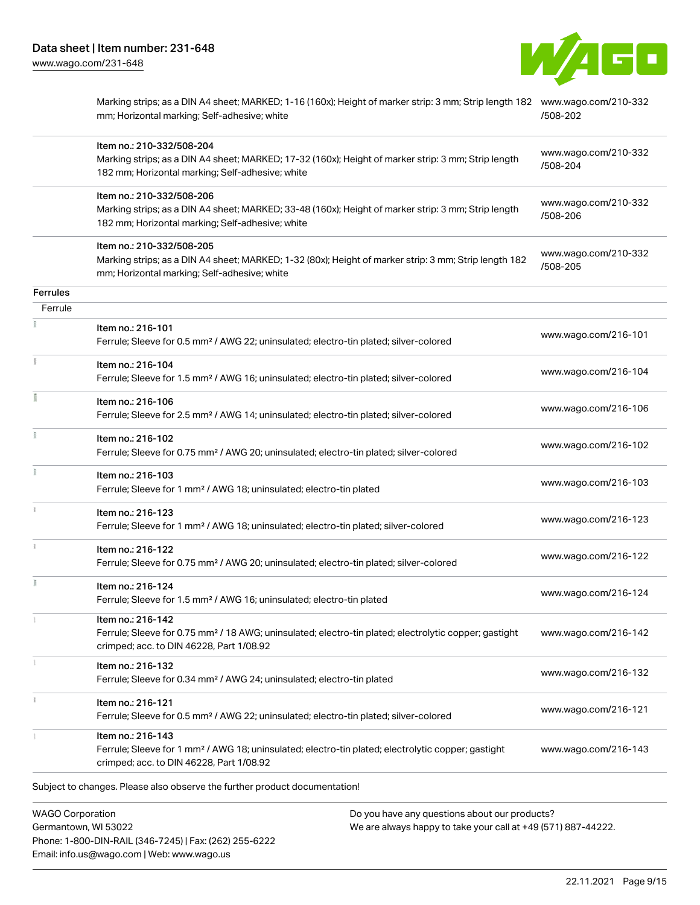

| Item no.: 210-332/508-204<br>Marking strips; as a DIN A4 sheet; MARKED; 17-32 (160x); Height of marker strip: 3 mm; Strip length<br>182 mm; Horizontal marking; Self-adhesive; white<br>Item no.: 210-332/508-206<br>Marking strips; as a DIN A4 sheet; MARKED; 33-48 (160x); Height of marker strip: 3 mm; Strip length<br>182 mm; Horizontal marking; Self-adhesive; white<br>Item no.: 210-332/508-205<br>Marking strips; as a DIN A4 sheet; MARKED; 1-32 (80x); Height of marker strip: 3 mm; Strip length 182<br>mm; Horizontal marking; Self-adhesive; white<br>Item no.: 216-101<br>Ferrule; Sleeve for 0.5 mm <sup>2</sup> / AWG 22; uninsulated; electro-tin plated; silver-colored<br>Item no.: 216-104<br>Ferrule; Sleeve for 1.5 mm <sup>2</sup> / AWG 16; uninsulated; electro-tin plated; silver-colored<br>Item no.: 216-106<br>Ferrule; Sleeve for 2.5 mm <sup>2</sup> / AWG 14; uninsulated; electro-tin plated; silver-colored<br>Item no.: 216-102<br>Ferrule; Sleeve for 0.75 mm <sup>2</sup> / AWG 20; uninsulated; electro-tin plated; silver-colored | www.wago.com/210-332<br>/508-204<br>www.wago.com/210-332<br>/508-206<br>www.wago.com/210-332<br>/508-205<br>www.wago.com/216-101<br>www.wago.com/216-104<br>www.wago.com/216-106<br>www.wago.com/216-102                                                                                                                                                                                                                                                                                                                                                                                                                                                                                                                                                                                                                                                                                                                                                                                                                                              |
|-----------------------------------------------------------------------------------------------------------------------------------------------------------------------------------------------------------------------------------------------------------------------------------------------------------------------------------------------------------------------------------------------------------------------------------------------------------------------------------------------------------------------------------------------------------------------------------------------------------------------------------------------------------------------------------------------------------------------------------------------------------------------------------------------------------------------------------------------------------------------------------------------------------------------------------------------------------------------------------------------------------------------------------------------------------------------------|-------------------------------------------------------------------------------------------------------------------------------------------------------------------------------------------------------------------------------------------------------------------------------------------------------------------------------------------------------------------------------------------------------------------------------------------------------------------------------------------------------------------------------------------------------------------------------------------------------------------------------------------------------------------------------------------------------------------------------------------------------------------------------------------------------------------------------------------------------------------------------------------------------------------------------------------------------------------------------------------------------------------------------------------------------|
|                                                                                                                                                                                                                                                                                                                                                                                                                                                                                                                                                                                                                                                                                                                                                                                                                                                                                                                                                                                                                                                                             |                                                                                                                                                                                                                                                                                                                                                                                                                                                                                                                                                                                                                                                                                                                                                                                                                                                                                                                                                                                                                                                       |
|                                                                                                                                                                                                                                                                                                                                                                                                                                                                                                                                                                                                                                                                                                                                                                                                                                                                                                                                                                                                                                                                             |                                                                                                                                                                                                                                                                                                                                                                                                                                                                                                                                                                                                                                                                                                                                                                                                                                                                                                                                                                                                                                                       |
|                                                                                                                                                                                                                                                                                                                                                                                                                                                                                                                                                                                                                                                                                                                                                                                                                                                                                                                                                                                                                                                                             |                                                                                                                                                                                                                                                                                                                                                                                                                                                                                                                                                                                                                                                                                                                                                                                                                                                                                                                                                                                                                                                       |
|                                                                                                                                                                                                                                                                                                                                                                                                                                                                                                                                                                                                                                                                                                                                                                                                                                                                                                                                                                                                                                                                             |                                                                                                                                                                                                                                                                                                                                                                                                                                                                                                                                                                                                                                                                                                                                                                                                                                                                                                                                                                                                                                                       |
|                                                                                                                                                                                                                                                                                                                                                                                                                                                                                                                                                                                                                                                                                                                                                                                                                                                                                                                                                                                                                                                                             |                                                                                                                                                                                                                                                                                                                                                                                                                                                                                                                                                                                                                                                                                                                                                                                                                                                                                                                                                                                                                                                       |
|                                                                                                                                                                                                                                                                                                                                                                                                                                                                                                                                                                                                                                                                                                                                                                                                                                                                                                                                                                                                                                                                             |                                                                                                                                                                                                                                                                                                                                                                                                                                                                                                                                                                                                                                                                                                                                                                                                                                                                                                                                                                                                                                                       |
|                                                                                                                                                                                                                                                                                                                                                                                                                                                                                                                                                                                                                                                                                                                                                                                                                                                                                                                                                                                                                                                                             |                                                                                                                                                                                                                                                                                                                                                                                                                                                                                                                                                                                                                                                                                                                                                                                                                                                                                                                                                                                                                                                       |
|                                                                                                                                                                                                                                                                                                                                                                                                                                                                                                                                                                                                                                                                                                                                                                                                                                                                                                                                                                                                                                                                             |                                                                                                                                                                                                                                                                                                                                                                                                                                                                                                                                                                                                                                                                                                                                                                                                                                                                                                                                                                                                                                                       |
|                                                                                                                                                                                                                                                                                                                                                                                                                                                                                                                                                                                                                                                                                                                                                                                                                                                                                                                                                                                                                                                                             |                                                                                                                                                                                                                                                                                                                                                                                                                                                                                                                                                                                                                                                                                                                                                                                                                                                                                                                                                                                                                                                       |
| Item no.: 216-103<br>Ferrule; Sleeve for 1 mm <sup>2</sup> / AWG 18; uninsulated; electro-tin plated                                                                                                                                                                                                                                                                                                                                                                                                                                                                                                                                                                                                                                                                                                                                                                                                                                                                                                                                                                        | www.wago.com/216-103                                                                                                                                                                                                                                                                                                                                                                                                                                                                                                                                                                                                                                                                                                                                                                                                                                                                                                                                                                                                                                  |
|                                                                                                                                                                                                                                                                                                                                                                                                                                                                                                                                                                                                                                                                                                                                                                                                                                                                                                                                                                                                                                                                             | www.wago.com/216-123                                                                                                                                                                                                                                                                                                                                                                                                                                                                                                                                                                                                                                                                                                                                                                                                                                                                                                                                                                                                                                  |
|                                                                                                                                                                                                                                                                                                                                                                                                                                                                                                                                                                                                                                                                                                                                                                                                                                                                                                                                                                                                                                                                             | www.wago.com/216-122                                                                                                                                                                                                                                                                                                                                                                                                                                                                                                                                                                                                                                                                                                                                                                                                                                                                                                                                                                                                                                  |
|                                                                                                                                                                                                                                                                                                                                                                                                                                                                                                                                                                                                                                                                                                                                                                                                                                                                                                                                                                                                                                                                             | www.wago.com/216-124                                                                                                                                                                                                                                                                                                                                                                                                                                                                                                                                                                                                                                                                                                                                                                                                                                                                                                                                                                                                                                  |
|                                                                                                                                                                                                                                                                                                                                                                                                                                                                                                                                                                                                                                                                                                                                                                                                                                                                                                                                                                                                                                                                             | www.wago.com/216-142                                                                                                                                                                                                                                                                                                                                                                                                                                                                                                                                                                                                                                                                                                                                                                                                                                                                                                                                                                                                                                  |
|                                                                                                                                                                                                                                                                                                                                                                                                                                                                                                                                                                                                                                                                                                                                                                                                                                                                                                                                                                                                                                                                             | www.wago.com/216-132                                                                                                                                                                                                                                                                                                                                                                                                                                                                                                                                                                                                                                                                                                                                                                                                                                                                                                                                                                                                                                  |
|                                                                                                                                                                                                                                                                                                                                                                                                                                                                                                                                                                                                                                                                                                                                                                                                                                                                                                                                                                                                                                                                             | www.wago.com/216-121                                                                                                                                                                                                                                                                                                                                                                                                                                                                                                                                                                                                                                                                                                                                                                                                                                                                                                                                                                                                                                  |
|                                                                                                                                                                                                                                                                                                                                                                                                                                                                                                                                                                                                                                                                                                                                                                                                                                                                                                                                                                                                                                                                             | www.wago.com/216-143                                                                                                                                                                                                                                                                                                                                                                                                                                                                                                                                                                                                                                                                                                                                                                                                                                                                                                                                                                                                                                  |
|                                                                                                                                                                                                                                                                                                                                                                                                                                                                                                                                                                                                                                                                                                                                                                                                                                                                                                                                                                                                                                                                             | Item no.: 216-123<br>Ferrule; Sleeve for 1 mm <sup>2</sup> / AWG 18; uninsulated; electro-tin plated; silver-colored<br>Item no.: 216-122<br>Ferrule; Sleeve for 0.75 mm <sup>2</sup> / AWG 20; uninsulated; electro-tin plated; silver-colored<br>Item no.: 216-124<br>Ferrule; Sleeve for 1.5 mm <sup>2</sup> / AWG 16; uninsulated; electro-tin plated<br>Item no.: 216-142<br>Ferrule; Sleeve for 0.75 mm <sup>2</sup> / 18 AWG; uninsulated; electro-tin plated; electrolytic copper; gastight<br>crimped; acc. to DIN 46228, Part 1/08.92<br>Item no.: 216-132<br>Ferrule; Sleeve for 0.34 mm <sup>2</sup> / AWG 24; uninsulated; electro-tin plated<br>Item no.: 216-121<br>Ferrule; Sleeve for 0.5 mm <sup>2</sup> / AWG 22; uninsulated; electro-tin plated; silver-colored<br>Item no.: 216-143<br>Ferrule; Sleeve for 1 mm <sup>2</sup> / AWG 18; uninsulated; electro-tin plated; electrolytic copper; gastight<br>crimped; acc. to DIN 46228, Part 1/08.92<br>Subject to changes. Please also observe the further product documentation! |

WAGO Corporation Germantown, WI 53022 Phone: 1-800-DIN-RAIL (346-7245) | Fax: (262) 255-6222 Email: info.us@wago.com | Web: www.wago.us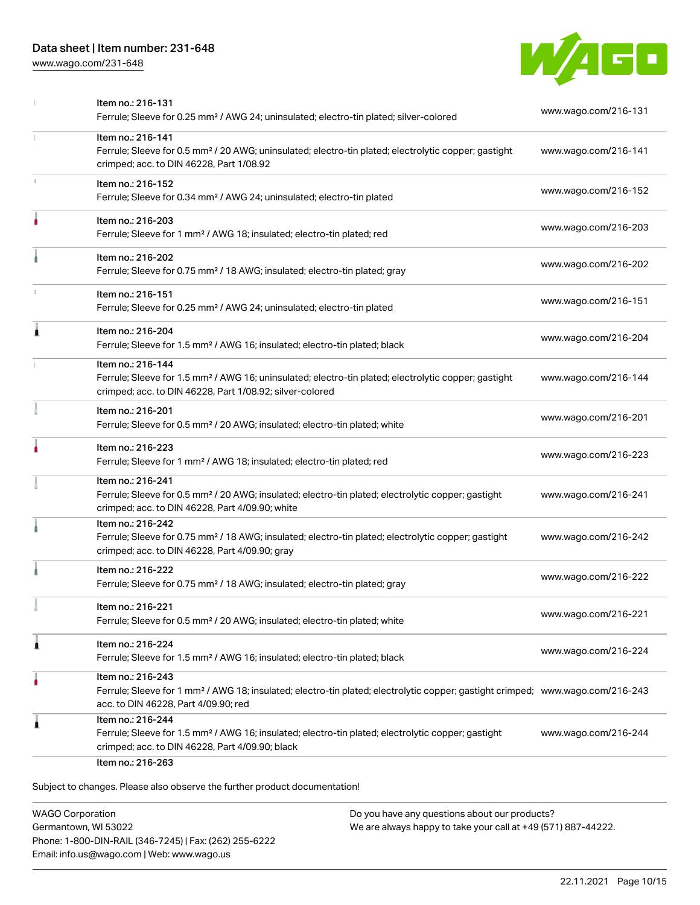[www.wago.com/231-648](http://www.wago.com/231-648)



|    | Item no.: 216-131<br>Ferrule; Sleeve for 0.25 mm <sup>2</sup> / AWG 24; uninsulated; electro-tin plated; silver-colored                                                                                 | www.wago.com/216-131 |
|----|---------------------------------------------------------------------------------------------------------------------------------------------------------------------------------------------------------|----------------------|
|    | Item no.: 216-141<br>Ferrule; Sleeve for 0.5 mm <sup>2</sup> / 20 AWG; uninsulated; electro-tin plated; electrolytic copper; gastight<br>crimped; acc. to DIN 46228, Part 1/08.92                       | www.wago.com/216-141 |
|    | Item no.: 216-152<br>Ferrule; Sleeve for 0.34 mm <sup>2</sup> / AWG 24; uninsulated; electro-tin plated                                                                                                 | www.wago.com/216-152 |
|    | Item no.: 216-203<br>Ferrule; Sleeve for 1 mm <sup>2</sup> / AWG 18; insulated; electro-tin plated; red                                                                                                 | www.wago.com/216-203 |
|    | Item no.: 216-202<br>Ferrule; Sleeve for 0.75 mm <sup>2</sup> / 18 AWG; insulated; electro-tin plated; gray                                                                                             | www.wago.com/216-202 |
| T. | Item no.: 216-151<br>Ferrule; Sleeve for 0.25 mm <sup>2</sup> / AWG 24; uninsulated; electro-tin plated                                                                                                 | www.wago.com/216-151 |
| ۸  | Item no.: 216-204<br>Ferrule; Sleeve for 1.5 mm <sup>2</sup> / AWG 16; insulated; electro-tin plated; black                                                                                             | www.wago.com/216-204 |
|    | Item no.: 216-144<br>Ferrule; Sleeve for 1.5 mm <sup>2</sup> / AWG 16; uninsulated; electro-tin plated; electrolytic copper; gastight<br>crimped; acc. to DIN 46228, Part 1/08.92; silver-colored       | www.wago.com/216-144 |
|    | Item no.: 216-201<br>Ferrule; Sleeve for 0.5 mm <sup>2</sup> / 20 AWG; insulated; electro-tin plated; white                                                                                             | www.wago.com/216-201 |
|    | Item no.: 216-223<br>Ferrule; Sleeve for 1 mm <sup>2</sup> / AWG 18; insulated; electro-tin plated; red                                                                                                 | www.wago.com/216-223 |
|    | Item no.: 216-241<br>Ferrule; Sleeve for 0.5 mm <sup>2</sup> / 20 AWG; insulated; electro-tin plated; electrolytic copper; gastight<br>crimped; acc. to DIN 46228, Part 4/09.90; white                  | www.wago.com/216-241 |
|    | Item no.: 216-242<br>Ferrule; Sleeve for 0.75 mm <sup>2</sup> / 18 AWG; insulated; electro-tin plated; electrolytic copper; gastight<br>crimped; acc. to DIN 46228, Part 4/09.90; gray                  | www.wago.com/216-242 |
|    | Item no.: 216-222<br>Ferrule; Sleeve for 0.75 mm <sup>2</sup> / 18 AWG; insulated; electro-tin plated; gray                                                                                             | www.wago.com/216-222 |
|    | Item no.: 216-221<br>Ferrule; Sleeve for 0.5 mm <sup>2</sup> / 20 AWG; insulated; electro-tin plated; white                                                                                             | www.wago.com/216-221 |
| 1  | Item no.: 216-224<br>Ferrule; Sleeve for 1.5 mm <sup>2</sup> / AWG 16; insulated; electro-tin plated; black                                                                                             | www.wago.com/216-224 |
| ٠  | Item no.: 216-243<br>Ferrule; Sleeve for 1 mm <sup>2</sup> / AWG 18; insulated; electro-tin plated; electrolytic copper; gastight crimped; www.wago.com/216-243<br>acc. to DIN 46228, Part 4/09.90; red |                      |
| 1  | Item no.: 216-244<br>Ferrule; Sleeve for 1.5 mm <sup>2</sup> / AWG 16; insulated; electro-tin plated; electrolytic copper; gastight<br>crimped; acc. to DIN 46228, Part 4/09.90; black                  | www.wago.com/216-244 |

WAGO Corporation Germantown, WI 53022 Phone: 1-800-DIN-RAIL (346-7245) | Fax: (262) 255-6222 Email: info.us@wago.com | Web: www.wago.us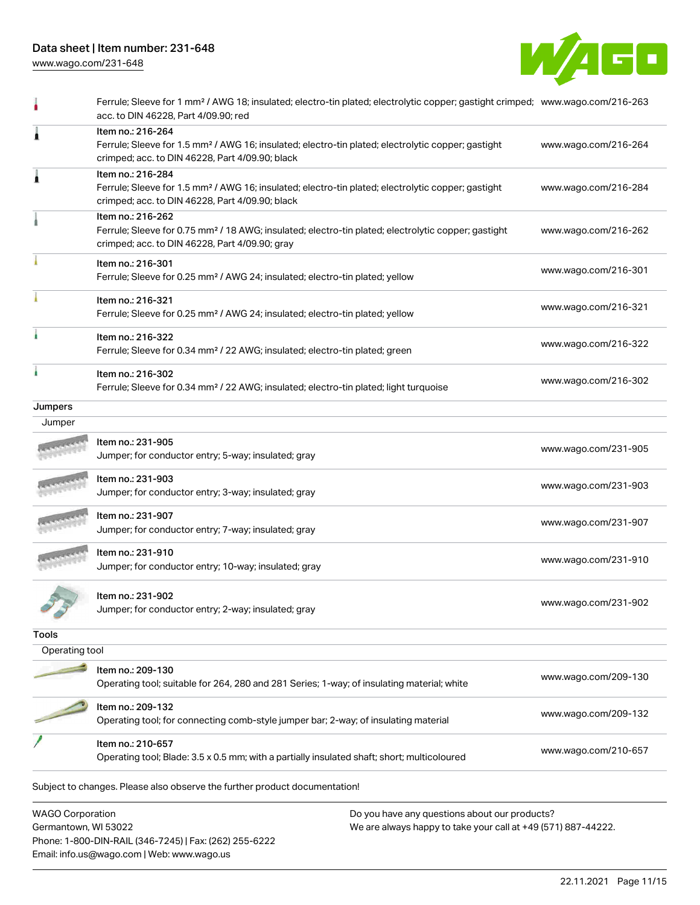Phone: 1-800-DIN-RAIL (346-7245) | Fax: (262) 255-6222

Email: info.us@wago.com | Web: www.wago.us





|                                                 | Ferrule; Sleeve for 1 mm <sup>2</sup> / AWG 18; insulated; electro-tin plated; electrolytic copper; gastight crimped; www.wago.com/216-263<br>acc. to DIN 46228, Part 4/09.90; red     |                                                                                                                |                      |
|-------------------------------------------------|----------------------------------------------------------------------------------------------------------------------------------------------------------------------------------------|----------------------------------------------------------------------------------------------------------------|----------------------|
| 1                                               | Item no.: 216-264<br>Ferrule; Sleeve for 1.5 mm <sup>2</sup> / AWG 16; insulated; electro-tin plated; electrolytic copper; gastight<br>crimped; acc. to DIN 46228, Part 4/09.90; black |                                                                                                                | www.wago.com/216-264 |
|                                                 | Item no.: 216-284<br>Ferrule; Sleeve for 1.5 mm <sup>2</sup> / AWG 16; insulated; electro-tin plated; electrolytic copper; gastight<br>crimped; acc. to DIN 46228, Part 4/09.90; black |                                                                                                                | www.wago.com/216-284 |
|                                                 | Item no.: 216-262<br>Ferrule; Sleeve for 0.75 mm <sup>2</sup> / 18 AWG; insulated; electro-tin plated; electrolytic copper; gastight<br>crimped; acc. to DIN 46228, Part 4/09.90; gray |                                                                                                                | www.wago.com/216-262 |
|                                                 | Item no.: 216-301<br>Ferrule; Sleeve for 0.25 mm <sup>2</sup> / AWG 24; insulated; electro-tin plated; yellow                                                                          |                                                                                                                | www.wago.com/216-301 |
|                                                 | Item no.: 216-321<br>Ferrule; Sleeve for 0.25 mm <sup>2</sup> / AWG 24; insulated; electro-tin plated; yellow                                                                          |                                                                                                                | www.wago.com/216-321 |
|                                                 | Item no.: 216-322<br>Ferrule; Sleeve for 0.34 mm <sup>2</sup> / 22 AWG; insulated; electro-tin plated; green                                                                           |                                                                                                                | www.wago.com/216-322 |
|                                                 | Item no.: 216-302<br>Ferrule; Sleeve for 0.34 mm <sup>2</sup> / 22 AWG; insulated; electro-tin plated; light turquoise                                                                 |                                                                                                                | www.wago.com/216-302 |
| <b>Jumpers</b>                                  |                                                                                                                                                                                        |                                                                                                                |                      |
| Jumper                                          |                                                                                                                                                                                        |                                                                                                                |                      |
|                                                 | Item no.: 231-905<br>Jumper; for conductor entry; 5-way; insulated; gray                                                                                                               |                                                                                                                | www.wago.com/231-905 |
|                                                 | Item no.: 231-903<br>Jumper; for conductor entry; 3-way; insulated; gray                                                                                                               |                                                                                                                | www.wago.com/231-903 |
|                                                 | Item no.: 231-907<br>Jumper; for conductor entry; 7-way; insulated; gray                                                                                                               |                                                                                                                | www.wago.com/231-907 |
|                                                 | Item no.: 231-910<br>Jumper; for conductor entry; 10-way; insulated; gray                                                                                                              |                                                                                                                | www.wago.com/231-910 |
|                                                 | Item no.: 231-902<br>Jumper; for conductor entry; 2-way; insulated; gray                                                                                                               |                                                                                                                | www.wago.com/231-902 |
| <b>Tools</b>                                    |                                                                                                                                                                                        |                                                                                                                |                      |
| Operating tool                                  |                                                                                                                                                                                        |                                                                                                                |                      |
|                                                 | Item no.: 209-130<br>Operating tool; suitable for 264, 280 and 281 Series; 1-way; of insulating material; white                                                                        |                                                                                                                | www.wago.com/209-130 |
|                                                 | Item no.: 209-132<br>Operating tool; for connecting comb-style jumper bar; 2-way; of insulating material                                                                               |                                                                                                                | www.wago.com/209-132 |
|                                                 | Item no.: 210-657<br>Operating tool; Blade: 3.5 x 0.5 mm; with a partially insulated shaft; short; multicoloured                                                                       |                                                                                                                | www.wago.com/210-657 |
|                                                 | Subject to changes. Please also observe the further product documentation!                                                                                                             |                                                                                                                |                      |
| <b>WAGO Corporation</b><br>Germantown, WI 53022 |                                                                                                                                                                                        | Do you have any questions about our products?<br>We are always happy to take your call at +49 (571) 887-44222. |                      |

22.11.2021 Page 11/15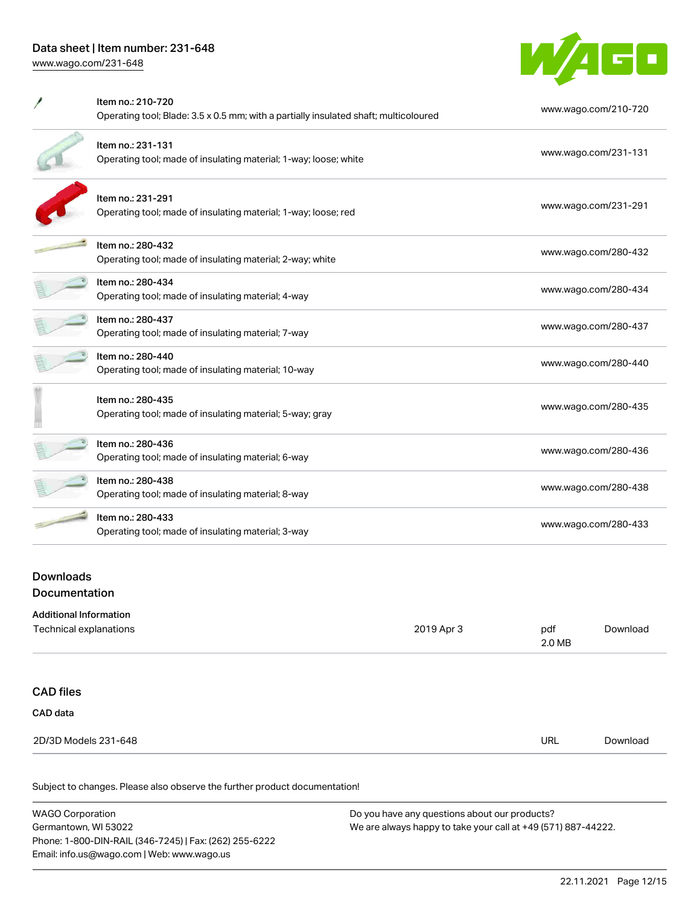

| Item no.: 210-720<br>Operating tool; Blade: 3.5 x 0.5 mm; with a partially insulated shaft; multicoloured | www.wago.com/210-720 |
|-----------------------------------------------------------------------------------------------------------|----------------------|
| Item no.: 231-131<br>Operating tool; made of insulating material; 1-way; loose; white                     | www.wago.com/231-131 |
| Item no.: 231-291<br>Operating tool; made of insulating material; 1-way; loose; red                       | www.wago.com/231-291 |
| Item no.: 280-432<br>Operating tool; made of insulating material; 2-way; white                            | www.wago.com/280-432 |
| Item no.: 280-434<br>Operating tool; made of insulating material; 4-way                                   | www.wago.com/280-434 |
| Item no.: 280-437<br>Operating tool; made of insulating material; 7-way                                   | www.wago.com/280-437 |
| Item no.: 280-440<br>Operating tool; made of insulating material; 10-way                                  | www.wago.com/280-440 |
| Item no.: 280-435<br>Operating tool; made of insulating material; 5-way; gray                             | www.wago.com/280-435 |
| Item no.: 280-436<br>Operating tool; made of insulating material; 6-way                                   | www.wago.com/280-436 |
| Item no.: 280-438<br>Operating tool; made of insulating material; 8-way                                   | www.wago.com/280-438 |
| Item no.: 280-433<br>Operating tool; made of insulating material; 3-way                                   | www.wago.com/280-433 |

### Downloads Documentation

| <b>Additional Information</b> |            |               |          |
|-------------------------------|------------|---------------|----------|
| Technical explanations        | 2019 Apr 3 | pdf<br>2.0 MB | Download |
|                               |            |               |          |
| <b>CAD files</b>              |            |               |          |
| CAD data                      |            |               |          |
| 2D/3D Models 231-648          |            | URL           | Download |

| <b>WAGO Corporation</b>                                | Do you have any questions about our products?                 |  |  |  |
|--------------------------------------------------------|---------------------------------------------------------------|--|--|--|
| Germantown, WI 53022                                   | We are always happy to take your call at +49 (571) 887-44222. |  |  |  |
| Phone: 1-800-DIN-RAIL (346-7245)   Fax: (262) 255-6222 |                                                               |  |  |  |
| Email: info.us@wago.com   Web: www.wago.us             |                                                               |  |  |  |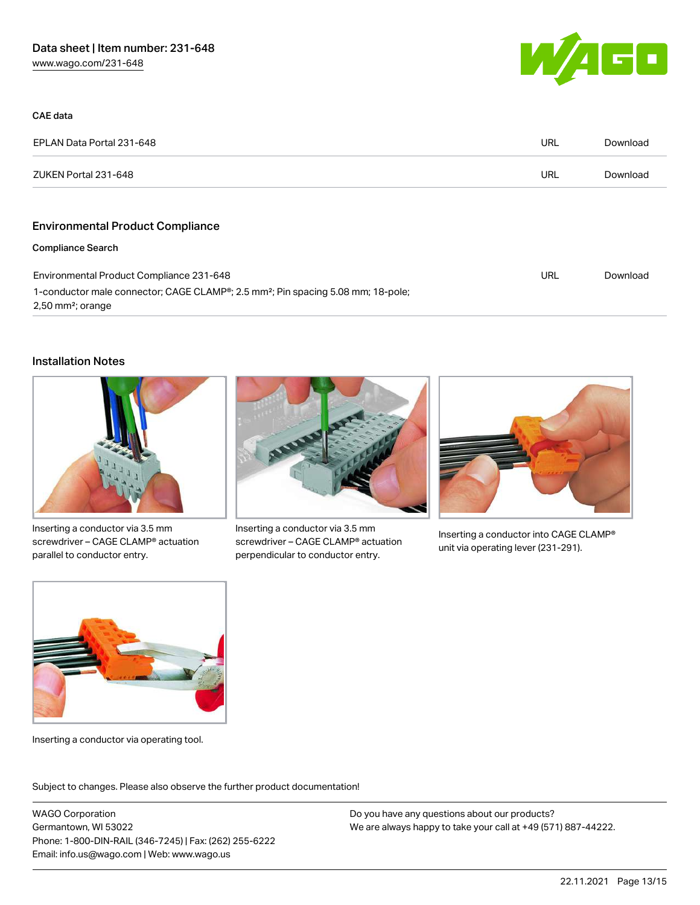

| CAE data                                                                                                                                     |            |          |
|----------------------------------------------------------------------------------------------------------------------------------------------|------------|----------|
| EPLAN Data Portal 231-648                                                                                                                    | URL        | Download |
| ZUKEN Portal 231-648                                                                                                                         | URL        | Download |
|                                                                                                                                              |            |          |
| <b>Environmental Product Compliance</b>                                                                                                      |            |          |
| <b>Compliance Search</b>                                                                                                                     |            |          |
| Environmental Product Compliance 231-648                                                                                                     | <b>URL</b> | Download |
| 1-conductor male connector; CAGE CLAMP <sup>®</sup> ; 2.5 mm <sup>2</sup> ; Pin spacing 5.08 mm; 18-pole;<br>$2,50$ mm <sup>2</sup> ; orange |            |          |

### Installation Notes



Inserting a conductor via 3.5 mm screwdriver – CAGE CLAMP® actuation parallel to conductor entry.



Inserting a conductor via 3.5 mm screwdriver – CAGE CLAMP® actuation perpendicular to conductor entry.



Inserting a conductor into CAGE CLAMP® unit via operating lever (231-291).



Inserting a conductor via operating tool.

Subject to changes. Please also observe the further product documentation!

WAGO Corporation Germantown, WI 53022 Phone: 1-800-DIN-RAIL (346-7245) | Fax: (262) 255-6222 Email: info.us@wago.com | Web: www.wago.us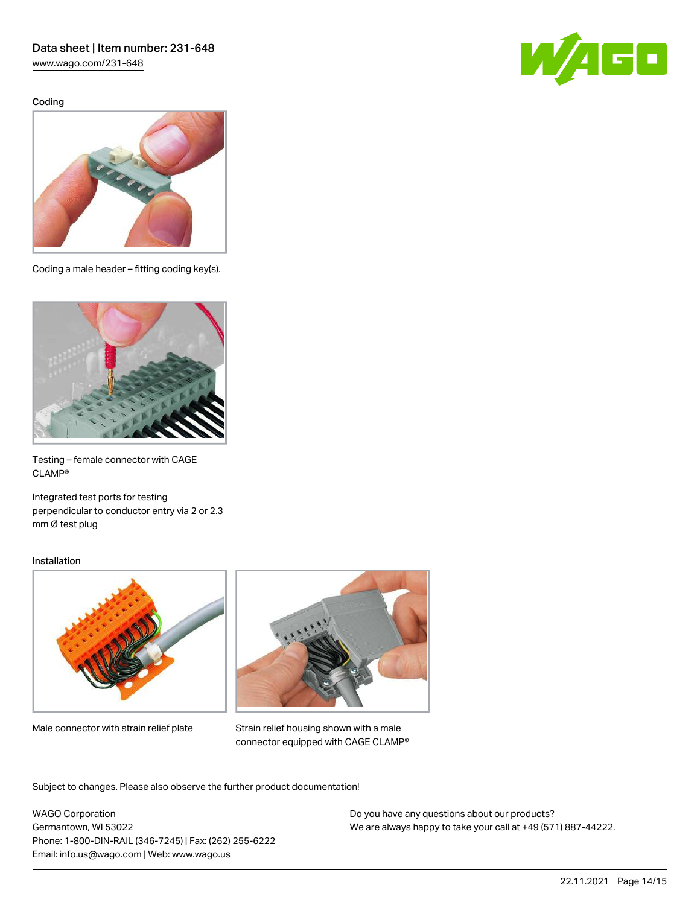[www.wago.com/231-648](http://www.wago.com/231-648)

Coding





Coding a male header – fitting coding key(s).



Testing – female connector with CAGE CLAMP®

Integrated test ports for testing perpendicular to conductor entry via 2 or 2.3 mm Ø test plug

#### Installation



Male connector with strain relief plate



Strain relief housing shown with a male connector equipped with CAGE CLAMP®

Subject to changes. Please also observe the further product documentation!

WAGO Corporation Germantown, WI 53022 Phone: 1-800-DIN-RAIL (346-7245) | Fax: (262) 255-6222 Email: info.us@wago.com | Web: www.wago.us